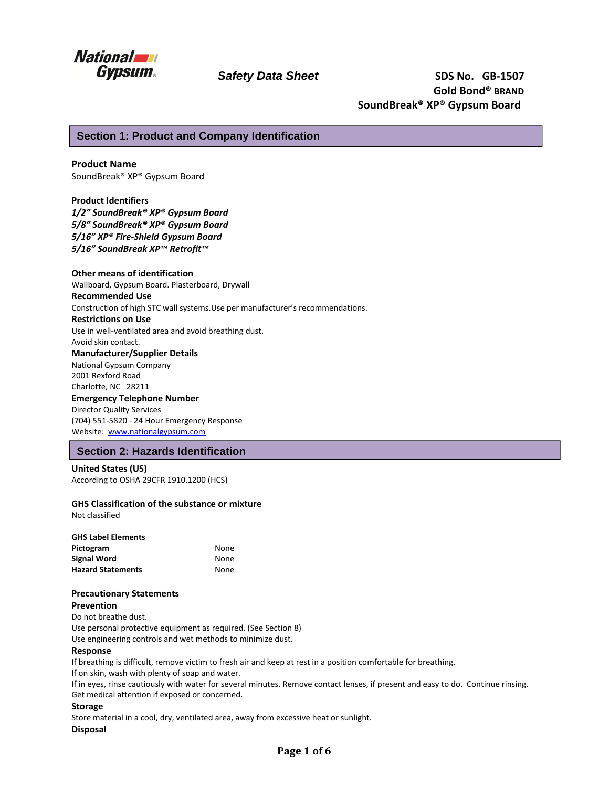

# **Section 1: Product and Company Identification**

# **Product Name**

SoundBreak® XP® Gypsum Board

#### **Product Identifiers**

*1/2" SoundBreak® XP® Gypsum Board 5/8" SoundBreak® XP® Gypsum Board 5/16" XP® Fire-Shield Gypsum Board 5/16" SoundBreak XP™ Retrofit™*

# **Other means of identification**

Wallboard, Gypsum Board. Plasterboard, Drywall

### **Recommended Use**

Construction of high STC wall systems.Use per manufacturer's recommendations.

#### **Restrictions on Use**

Use in well-ventilated area and avoid breathing dust.

#### Avoid skin contact. **Manufacturer/Supplier Details**

National Gypsum Company 2001 Rexford Road Charlotte, NC 28211

### **Emergency Telephone Number**

Director Quality Services (704) 551-5820 - 24 Hour Emergency Response Website: www.nationalgypsum.com

# **Section 2: Hazards Identification**

## **United States (US)**  According to OSHA 29CFR 1910.1200 (HCS)

## **GHS Classification of the substance or mixture**

Not classified

| <b>GHS Label Elements</b> |             |
|---------------------------|-------------|
| Pictogram                 | None        |
| <b>Signal Word</b>        | <b>None</b> |
| <b>Hazard Statements</b>  | None        |

# **Precautionary Statements**

**Prevention** 

Do not breathe dust. Use personal protective equipment as required. (See Section 8)

Use engineering controls and wet methods to minimize dust.

# **Response**

If breathing is difficult, remove victim to fresh air and keep at rest in a position comfortable for breathing.

If on skin, wash with plenty of soap and water.

If in eyes, rinse cautiously with water for several minutes. Remove contact lenses, if present and easy to do. Continue rinsing. Get medical attention if exposed or concerned.

#### **Storage**

Store material in a cool, dry, ventilated area, away from excessive heat or sunlight. **Disposal**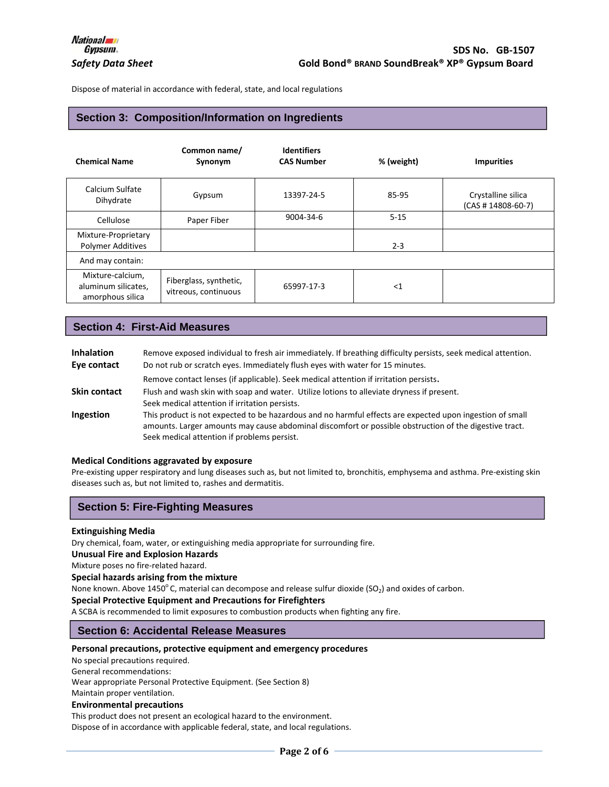Dispose of material in accordance with federal, state, and local regulations

# **Section 3: Composition/Information on Ingredients**

| <b>Chemical Name</b>                                        | Common name/<br>Synonym                        | <b>Identifiers</b><br><b>CAS Number</b> | % (weight) | <b>Impurities</b>                          |
|-------------------------------------------------------------|------------------------------------------------|-----------------------------------------|------------|--------------------------------------------|
| Calcium Sulfate<br>Dihydrate                                | Gypsum                                         | 13397-24-5                              | 85-95      | Crystalline silica<br>$(CAS # 14808-60-7)$ |
| Cellulose                                                   | Paper Fiber                                    | 9004-34-6                               | $5 - 15$   |                                            |
| Mixture-Proprietary<br><b>Polymer Additives</b>             |                                                |                                         | $2 - 3$    |                                            |
| And may contain:                                            |                                                |                                         |            |                                            |
| Mixture-calcium,<br>aluminum silicates,<br>amorphous silica | Fiberglass, synthetic,<br>vitreous, continuous | 65997-17-3                              | $<$ 1      |                                            |

# **Section 4: First-Aid Measures**

| <b>Inhalation</b><br>Eye contact | Remove exposed individual to fresh air immediately. If breathing difficulty persists, seek medical attention.<br>Do not rub or scratch eyes. Immediately flush eyes with water for 15 minutes.                                                                    |
|----------------------------------|-------------------------------------------------------------------------------------------------------------------------------------------------------------------------------------------------------------------------------------------------------------------|
|                                  | Remove contact lenses (if applicable). Seek medical attention if irritation persists.                                                                                                                                                                             |
| <b>Skin contact</b>              | Flush and wash skin with soap and water. Utilize lotions to alleviate dryness if present.<br>Seek medical attention if irritation persists.                                                                                                                       |
| Ingestion                        | This product is not expected to be hazardous and no harmful effects are expected upon ingestion of small<br>amounts. Larger amounts may cause abdominal discomfort or possible obstruction of the digestive tract.<br>Seek medical attention if problems persist. |

#### **Medical Conditions aggravated by exposure**

Pre-existing upper respiratory and lung diseases such as, but not limited to, bronchitis, emphysema and asthma. Pre-existing skin diseases such as, but not limited to, rashes and dermatitis.

# **Section 5: Fire-Fighting Measures**

#### **Extinguishing Media**

Dry chemical, foam, water, or extinguishing media appropriate for surrounding fire.

**Unusual Fire and Explosion Hazards** 

Mixture poses no fire-related hazard.

**Special hazards arising from the mixture** 

None known. Above 1450°C, material can decompose and release sulfur dioxide (SO<sub>2</sub>) and oxides of carbon.

#### **Special Protective Equipment and Precautions for Firefighters**

A SCBA is recommended to limit exposures to combustion products when fighting any fire.

## **Section 6: Accidental Release Measures**

### **Personal precautions, protective equipment and emergency procedures**

No special precautions required.

General recommendations:

Wear appropriate Personal Protective Equipment. (See Section 8)

Maintain proper ventilation.

# **Environmental precautions**

This product does not present an ecological hazard to the environment.

Dispose of in accordance with applicable federal, state, and local regulations.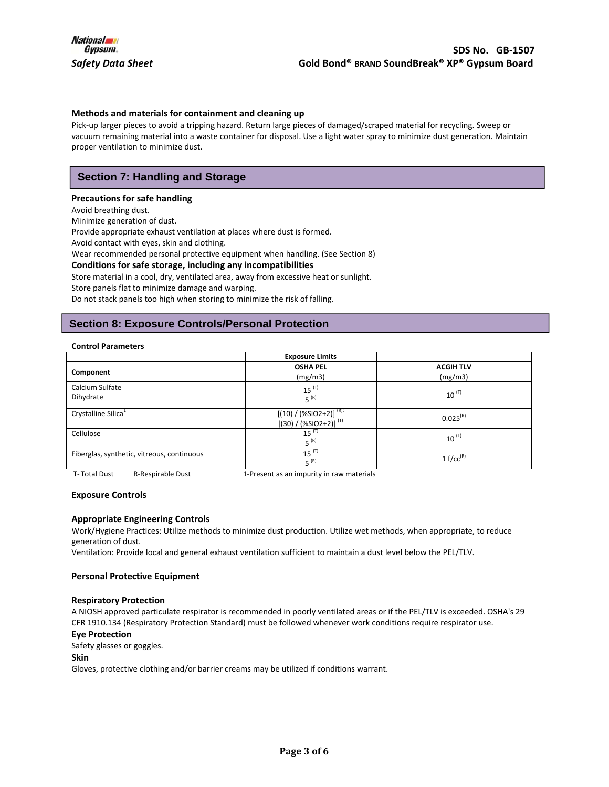#### **Methods and materials for containment and cleaning up**

Pick-up larger pieces to avoid a tripping hazard. Return large pieces of damaged/scraped material for recycling. Sweep or vacuum remaining material into a waste container for disposal. Use a light water spray to minimize dust generation. Maintain proper ventilation to minimize dust.

# **Section 7: Handling and Storage**

#### **Precautions for safe handling**

Avoid breathing dust.

Minimize generation of dust.

Provide appropriate exhaust ventilation at places where dust is formed.

Avoid contact with eyes, skin and clothing.

Wear recommended personal protective equipment when handling. (See Section 8)

#### **Conditions for safe storage, including any incompatibilities**

Store material in a cool, dry, ventilated area, away from excessive heat or sunlight. Store panels flat to minimize damage and warping.

Do not stack panels too high when storing to minimize the risk of falling.

# **Section 8: Exposure Controls/Personal Protection**

#### **Control Parameters**

|                                            | <b>Exposure Limits</b>                                   |                             |
|--------------------------------------------|----------------------------------------------------------|-----------------------------|
| Component                                  | <b>OSHA PEL</b><br>(mg/m3)                               | <b>ACGIH TLV</b><br>(mg/m3) |
| Calcium Sulfate<br>Dihydrate               | $15$ <sup><math>(T)</math></sup><br>$5^{(R)}$            | $10^{(T)}$                  |
| Crystalline Silica <sup>1</sup>            | $[(10) / (%SiO2+2)]^{(R)}$<br>$[(30) / (%SiO2+2)]^{(T)}$ | $0.025^{(R)}$               |
| Cellulose                                  | $15^{(T)}$<br>$5^{(R)}$                                  | $10^{(T)}$                  |
| Fiberglas, synthetic, vitreous, continuous | $15^{(T)}$<br>$5^{(R)}$                                  | 1 $f/cc^{(R)}$              |

T- Total Dust R-Respirable Dust 1-Present as an impurity in raw materials

#### **Exposure Controls**

## **Appropriate Engineering Controls**

Work/Hygiene Practices: Utilize methods to minimize dust production. Utilize wet methods, when appropriate, to reduce generation of dust.

Ventilation: Provide local and general exhaust ventilation sufficient to maintain a dust level below the PEL/TLV.

#### **Personal Protective Equipment**

#### **Respiratory Protection**

A NIOSH approved particulate respirator is recommended in poorly ventilated areas or if the PEL/TLV is exceeded. OSHA's 29 CFR 1910.134 (Respiratory Protection Standard) must be followed whenever work conditions require respirator use.

#### **Eye Protection**

Safety glasses or goggles.

## **Skin**

Gloves, protective clothing and/or barrier creams may be utilized if conditions warrant.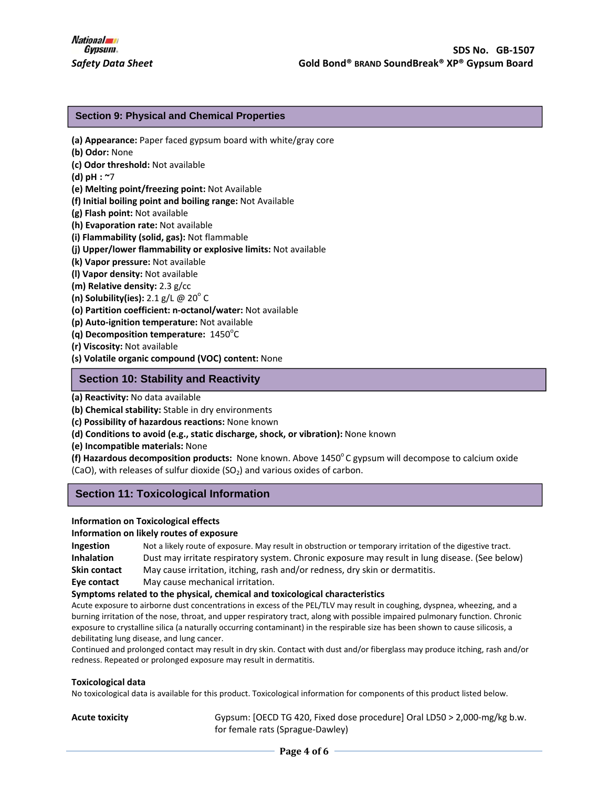# **Section 9: Physical and Chemical Properties**

- **(a) Appearance:** Paper faced gypsum board with white/gray core
- **(b) Odor:** None
- **(c) Odor threshold:** Not available
- **(d) pH : ~**7
- **(e) Melting point/freezing point:** Not Available
- **(f) Initial boiling point and boiling range:** Not Available
- **(g) Flash point:** Not available
- **(h) Evaporation rate:** Not available
- **(i) Flammability (solid, gas):** Not flammable
- **(j) Upper/lower flammability or explosive limits:** Not available
- **(k) Vapor pressure:** Not available
- **(l) Vapor density:** Not available
- **(m) Relative density:** 2.3 g/cc
- **(n) Solubility(ies):** 2.1 g/L @ 20<sup>°</sup> C
- **(o) Partition coefficient: n-octanol/water:** Not available
- **(p) Auto-ignition temperature:** Not available
- **(q) Decomposition temperature: 1450<sup>°</sup>C**
- **(r) Viscosity:** Not available
- **(s) Volatile organic compound (VOC) content:** None

# **Section 10: Stability and Reactivity**

**(a) Reactivity:** No data available

- **(b) Chemical stability:** Stable in dry environments
- **(c) Possibility of hazardous reactions:** None known
- **(d) Conditions to avoid (e.g., static discharge, shock, or vibration):** None known
- **(e) Incompatible materials:** None
- **(f) Hazardous decomposition products:** None known. Above 1450°C gypsum will decompose to calcium oxide (CaO), with releases of sulfur dioxide  $(SO<sub>2</sub>)$  and various oxides of carbon.

# **Section 11: Toxicological Information**

#### **Information on Toxicological effects**

#### **Information on likely routes of exposure**

| Ingestion           | Not a likely route of exposure. May result in obstruction or temporary irritation of the digestive tract. |
|---------------------|-----------------------------------------------------------------------------------------------------------|
| <b>Inhalation</b>   | Dust may irritate respiratory system. Chronic exposure may result in lung disease. (See below)            |
| <b>Skin contact</b> | May cause irritation, itching, rash and/or redness, dry skin or dermatitis.                               |
| Eye contact         | May cause mechanical irritation.                                                                          |

#### **Symptoms related to the physical, chemical and toxicological characteristics**

Acute exposure to airborne dust concentrations in excess of the PEL/TLV may result in coughing, dyspnea, wheezing, and a burning irritation of the nose, throat, and upper respiratory tract, along with possible impaired pulmonary function. Chronic exposure to crystalline silica (a naturally occurring contaminant) in the respirable size has been shown to cause silicosis, a debilitating lung disease, and lung cancer.

Continued and prolonged contact may result in dry skin. Contact with dust and/or fiberglass may produce itching, rash and/or redness. Repeated or prolonged exposure may result in dermatitis.

#### **Toxicological data**

No toxicological data is available for this product. Toxicological information for components of this product listed below.

**Acute toxicity** Gypsum: [OECD TG 420, Fixed dose procedure] Oral LD50 > 2,000-mg/kg b.w. for female rats (Sprague-Dawley)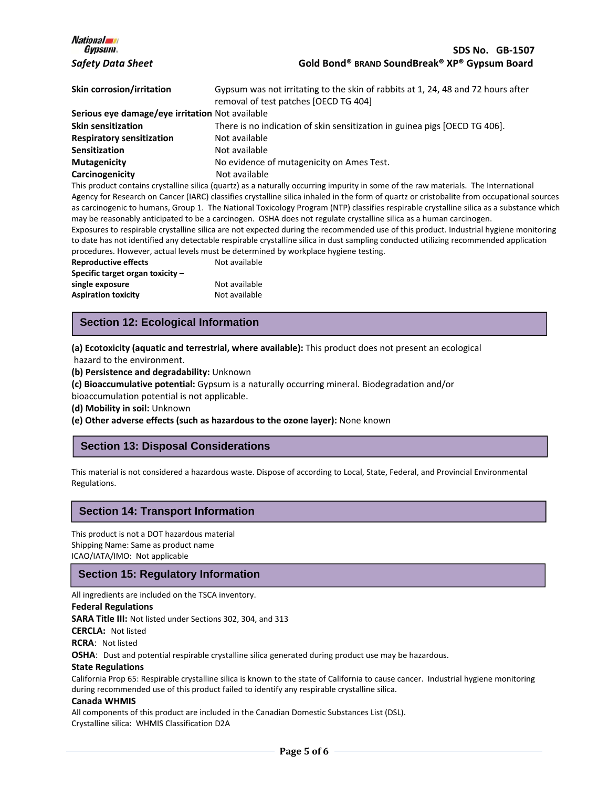| <i><b>National</b></i><br><i>Gypsum</i>         | <b>SDS No. GB-1507</b>                                                                                                                                                                                                                                                            |
|-------------------------------------------------|-----------------------------------------------------------------------------------------------------------------------------------------------------------------------------------------------------------------------------------------------------------------------------------|
| <b>Safety Data Sheet</b>                        | Gold Bond® BRAND SoundBreak® XP® Gypsum Board                                                                                                                                                                                                                                     |
| Skin corrosion/irritation                       | Gypsum was not irritating to the skin of rabbits at 1, 24, 48 and 72 hours after<br>removal of test patches [OECD TG 404]                                                                                                                                                         |
| Serious eye damage/eye irritation Not available |                                                                                                                                                                                                                                                                                   |
| <b>Skin sensitization</b>                       | There is no indication of skin sensitization in guinea pigs [OECD TG 406].                                                                                                                                                                                                        |
| <b>Respiratory sensitization</b>                | Not available                                                                                                                                                                                                                                                                     |
| <b>Sensitization</b>                            | Not available                                                                                                                                                                                                                                                                     |
| Mutagenicity                                    | No evidence of mutagenicity on Ames Test.                                                                                                                                                                                                                                         |
| Carcinogenicity                                 | Not available                                                                                                                                                                                                                                                                     |
|                                                 | This product contains crystalline silica (quartz) as a naturally occurring impurity in some of the raw materials. The International<br>Agency for Research on Cancer (IARC) classifies crystalline silica inhaled in the form of quartz or cristobalite from occupational sources |
|                                                 | as carcinogenic to humans, Group 1. The National Toxicology Program (NTP) classifies respirable crystalline silica as a substance which                                                                                                                                           |
|                                                 | may be reasonably anticipated to be a carcinogen. OSHA does not regulate crystalline silica as a human carcinogen.                                                                                                                                                                |
|                                                 | Exposures to respirable crystalline silica are not expected during the recommended use of this product. Industrial hygiene monitoring                                                                                                                                             |
|                                                 | to date has not identified any detectable respirable crystalline silica in dust sampling conducted utilizing recommended application                                                                                                                                              |
|                                                 | procedures. However, actual levels must be determined by workplace hygiene testing.                                                                                                                                                                                               |
| <b>Reproductive effects</b>                     | Not available                                                                                                                                                                                                                                                                     |
| Specific target organ toxicity -                |                                                                                                                                                                                                                                                                                   |
| single exposure                                 | Not available                                                                                                                                                                                                                                                                     |
| <b>Aspiration toxicity</b>                      | Not available                                                                                                                                                                                                                                                                     |

# **Section 12: Ecological Information**

**(a) Ecotoxicity (aquatic and terrestrial, where available):** This product does not present an ecological hazard to the environment.

**(b) Persistence and degradability:** Unknown

**(c) Bioaccumulative potential:** Gypsum is a naturally occurring mineral. Biodegradation and/or bioaccumulation potential is not applicable.

**(d) Mobility in soil:** Unknown

 $\overline{\phantom{a}}$ 

Ι

**(e) Other adverse effects (such as hazardous to the ozone layer):** None known

# **Section 13: Disposal Considerations**

This material is not considered a hazardous waste. Dispose of according to Local, State, Federal, and Provincial Environmental Regulations.

# **Section 14: Transport Information**

This product is not a DOT hazardous material Shipping Name: Same as product name ICAO/IATA/IMO: Not applicable

# **Section 15: Regulatory Information**

All ingredients are included on the TSCA inventory.

## **Federal Regulations**

**SARA Title III:** Not listed under Sections 302, 304, and 313

**CERCLA:** Not listed

**RCRA**: Not listed

**OSHA**: Dust and potential respirable crystalline silica generated during product use may be hazardous.

#### **State Regulations**

California Prop 65: Respirable crystalline silica is known to the state of California to cause cancer. Industrial hygiene monitoring during recommended use of this product failed to identify any respirable crystalline silica.

#### **Canada WHMIS**

All components of this product are included in the Canadian Domestic Substances List (DSL). Crystalline silica: WHMIS Classification D2A